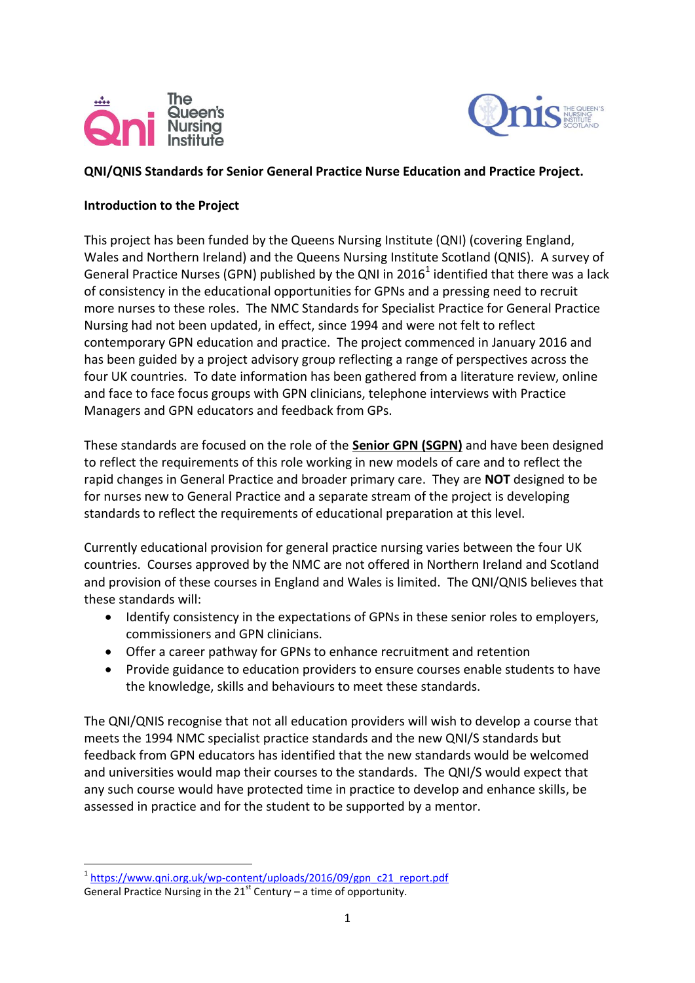



# **QNI/QNIS Standards for Senior General Practice Nurse Education and Practice Project.**

### **Introduction to the Project**

This project has been funded by the Queens Nursing Institute (QNI) (covering England, Wales and Northern Ireland) and the Queens Nursing Institute Scotland (QNIS). A survey of General Practice Nurses (GPN) published by the QNI in 2016<sup>1</sup> identified that there was a lack of consistency in the educational opportunities for GPNs and a pressing need to recruit more nurses to these roles. The NMC Standards for Specialist Practice for General Practice Nursing had not been updated, in effect, since 1994 and were not felt to reflect contemporary GPN education and practice. The project commenced in January 2016 and has been guided by a project advisory group reflecting a range of perspectives across the four UK countries. To date information has been gathered from a literature review, online and face to face focus groups with GPN clinicians, telephone interviews with Practice Managers and GPN educators and feedback from GPs.

These standards are focused on the role of the **Senior GPN (SGPN)** and have been designed to reflect the requirements of this role working in new models of care and to reflect the rapid changes in General Practice and broader primary care. They are **NOT** designed to be for nurses new to General Practice and a separate stream of the project is developing standards to reflect the requirements of educational preparation at this level.

Currently educational provision for general practice nursing varies between the four UK countries. Courses approved by the NMC are not offered in Northern Ireland and Scotland and provision of these courses in England and Wales is limited. The QNI/QNIS believes that these standards will:

- Identify consistency in the expectations of GPNs in these senior roles to employers, commissioners and GPN clinicians.
- Offer a career pathway for GPNs to enhance recruitment and retention
- Provide guidance to education providers to ensure courses enable students to have the knowledge, skills and behaviours to meet these standards.

The QNI/QNIS recognise that not all education providers will wish to develop a course that meets the 1994 NMC specialist practice standards and the new QNI/S standards but feedback from GPN educators has identified that the new standards would be welcomed and universities would map their courses to the standards. The QNI/S would expect that any such course would have protected time in practice to develop and enhance skills, be assessed in practice and for the student to be supported by a mentor.

**.** 

<sup>&</sup>lt;sup>1</sup>[https://www.qni.org.uk/wp-content/uploads/2016/09/gpn\\_c21\\_report.pdf](https://www.qni.org.uk/wp-content/uploads/2016/09/gpn_c21_report.pdf) General Practice Nursing in the  $21<sup>st</sup>$  Century – a time of opportunity.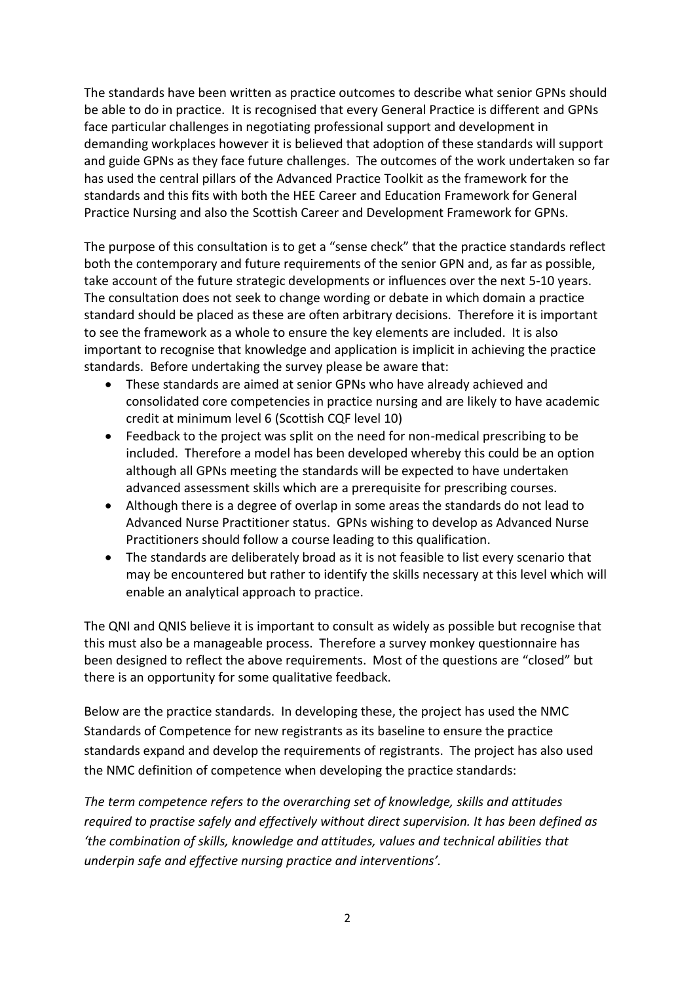The standards have been written as practice outcomes to describe what senior GPNs should be able to do in practice. It is recognised that every General Practice is different and GPNs face particular challenges in negotiating professional support and development in demanding workplaces however it is believed that adoption of these standards will support and guide GPNs as they face future challenges. The outcomes of the work undertaken so far has used the central pillars of the Advanced Practice Toolkit as the framework for the standards and this fits with both the HEE Career and Education Framework for General Practice Nursing and also the Scottish Career and Development Framework for GPNs.

The purpose of this consultation is to get a "sense check" that the practice standards reflect both the contemporary and future requirements of the senior GPN and, as far as possible, take account of the future strategic developments or influences over the next 5-10 years. The consultation does not seek to change wording or debate in which domain a practice standard should be placed as these are often arbitrary decisions. Therefore it is important to see the framework as a whole to ensure the key elements are included. It is also important to recognise that knowledge and application is implicit in achieving the practice standards. Before undertaking the survey please be aware that:

- These standards are aimed at senior GPNs who have already achieved and consolidated core competencies in practice nursing and are likely to have academic credit at minimum level 6 (Scottish CQF level 10)
- Feedback to the project was split on the need for non-medical prescribing to be included. Therefore a model has been developed whereby this could be an option although all GPNs meeting the standards will be expected to have undertaken advanced assessment skills which are a prerequisite for prescribing courses.
- Although there is a degree of overlap in some areas the standards do not lead to Advanced Nurse Practitioner status. GPNs wishing to develop as Advanced Nurse Practitioners should follow a course leading to this qualification.
- The standards are deliberately broad as it is not feasible to list every scenario that may be encountered but rather to identify the skills necessary at this level which will enable an analytical approach to practice.

The QNI and QNIS believe it is important to consult as widely as possible but recognise that this must also be a manageable process. Therefore a survey monkey questionnaire has been designed to reflect the above requirements. Most of the questions are "closed" but there is an opportunity for some qualitative feedback.

Below are the practice standards. In developing these, the project has used the NMC Standards of Competence for new registrants as its baseline to ensure the practice standards expand and develop the requirements of registrants. The project has also used the NMC definition of competence when developing the practice standards:

*The term competence refers to the overarching set of knowledge, skills and attitudes required to practise safely and effectively without direct supervision. It has been defined as 'the combination of skills, knowledge and attitudes, values and technical abilities that underpin safe and effective nursing practice and interventions'.*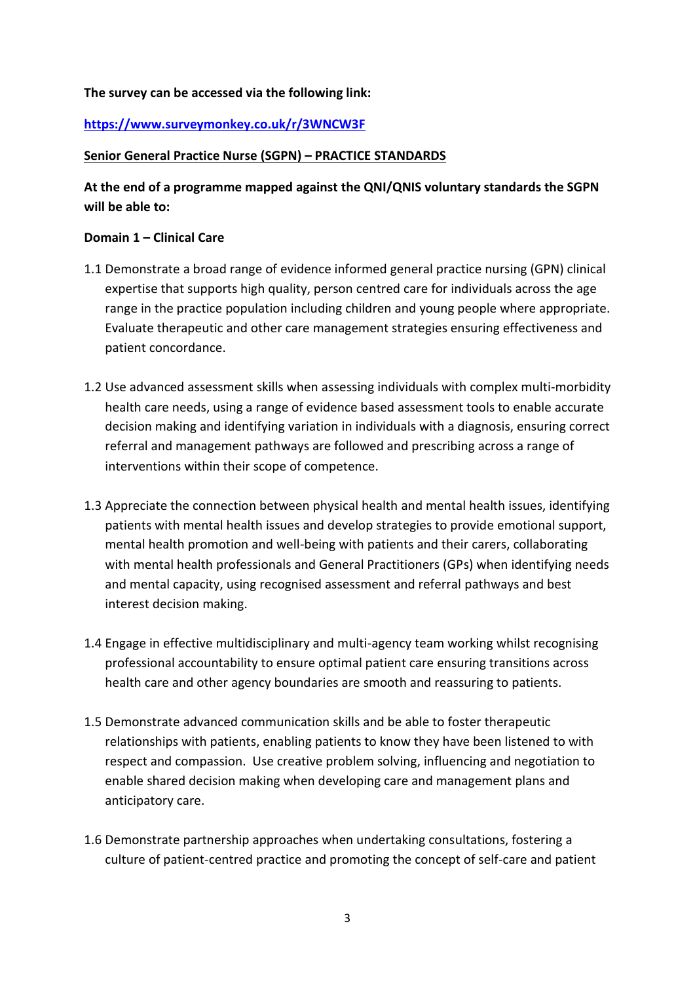# **The survey can be accessed via the following link:**

# **<https://www.surveymonkey.co.uk/r/3WNCW3F>**

### **Senior General Practice Nurse (SGPN) – PRACTICE STANDARDS**

# **At the end of a programme mapped against the QNI/QNIS voluntary standards the SGPN will be able to:**

### **Domain 1 – Clinical Care**

- 1.1 Demonstrate a broad range of evidence informed general practice nursing (GPN) clinical expertise that supports high quality, person centred care for individuals across the age range in the practice population including children and young people where appropriate. Evaluate therapeutic and other care management strategies ensuring effectiveness and patient concordance.
- 1.2 Use advanced assessment skills when assessing individuals with complex multi-morbidity health care needs, using a range of evidence based assessment tools to enable accurate decision making and identifying variation in individuals with a diagnosis, ensuring correct referral and management pathways are followed and prescribing across a range of interventions within their scope of competence.
- 1.3 Appreciate the connection between physical health and mental health issues, identifying patients with mental health issues and develop strategies to provide emotional support, mental health promotion and well-being with patients and their carers, collaborating with mental health professionals and General Practitioners (GPs) when identifying needs and mental capacity, using recognised assessment and referral pathways and best interest decision making.
- 1.4 Engage in effective multidisciplinary and multi-agency team working whilst recognising professional accountability to ensure optimal patient care ensuring transitions across health care and other agency boundaries are smooth and reassuring to patients.
- 1.5 Demonstrate advanced communication skills and be able to foster therapeutic relationships with patients, enabling patients to know they have been listened to with respect and compassion. Use creative problem solving, influencing and negotiation to enable shared decision making when developing care and management plans and anticipatory care.
- 1.6 Demonstrate partnership approaches when undertaking consultations, fostering a culture of patient-centred practice and promoting the concept of self-care and patient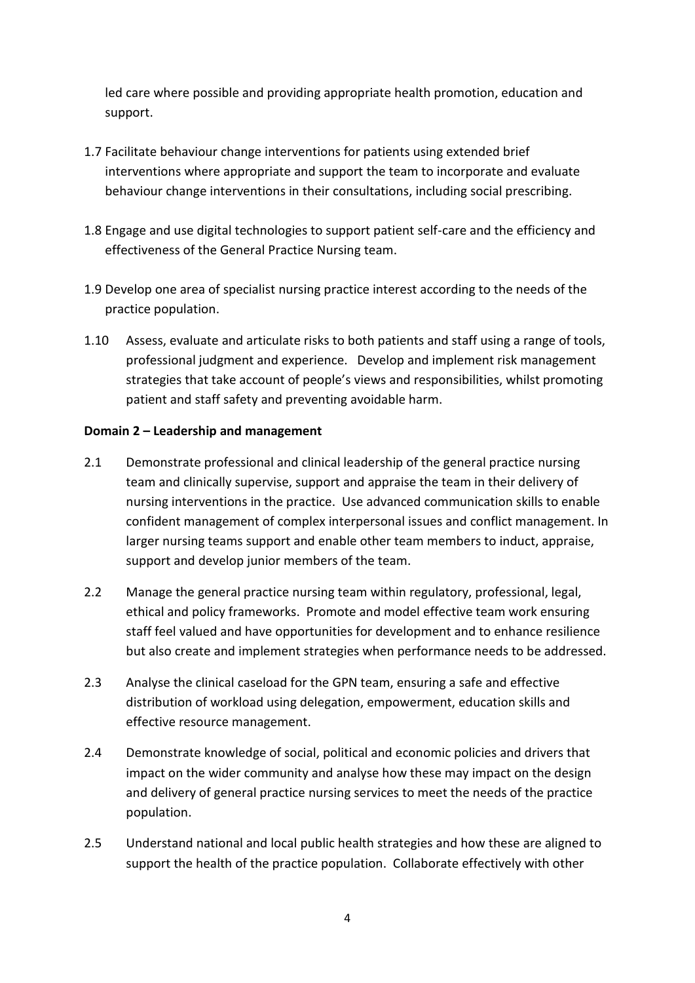led care where possible and providing appropriate health promotion, education and support.

- 1.7 Facilitate behaviour change interventions for patients using extended brief interventions where appropriate and support the team to incorporate and evaluate behaviour change interventions in their consultations, including social prescribing.
- 1.8 Engage and use digital technologies to support patient self-care and the efficiency and effectiveness of the General Practice Nursing team.
- 1.9 Develop one area of specialist nursing practice interest according to the needs of the practice population.
- 1.10 Assess, evaluate and articulate risks to both patients and staff using a range of tools, professional judgment and experience. Develop and implement risk management strategies that take account of people's views and responsibilities, whilst promoting patient and staff safety and preventing avoidable harm.

# **Domain 2 – Leadership and management**

- 2.1 Demonstrate professional and clinical leadership of the general practice nursing team and clinically supervise, support and appraise the team in their delivery of nursing interventions in the practice. Use advanced communication skills to enable confident management of complex interpersonal issues and conflict management. In larger nursing teams support and enable other team members to induct, appraise, support and develop junior members of the team.
- 2.2 Manage the general practice nursing team within regulatory, professional, legal, ethical and policy frameworks. Promote and model effective team work ensuring staff feel valued and have opportunities for development and to enhance resilience but also create and implement strategies when performance needs to be addressed.
- 2.3 Analyse the clinical caseload for the GPN team, ensuring a safe and effective distribution of workload using delegation, empowerment, education skills and effective resource management.
- 2.4 Demonstrate knowledge of social, political and economic policies and drivers that impact on the wider community and analyse how these may impact on the design and delivery of general practice nursing services to meet the needs of the practice population.
- 2.5 Understand national and local public health strategies and how these are aligned to support the health of the practice population. Collaborate effectively with other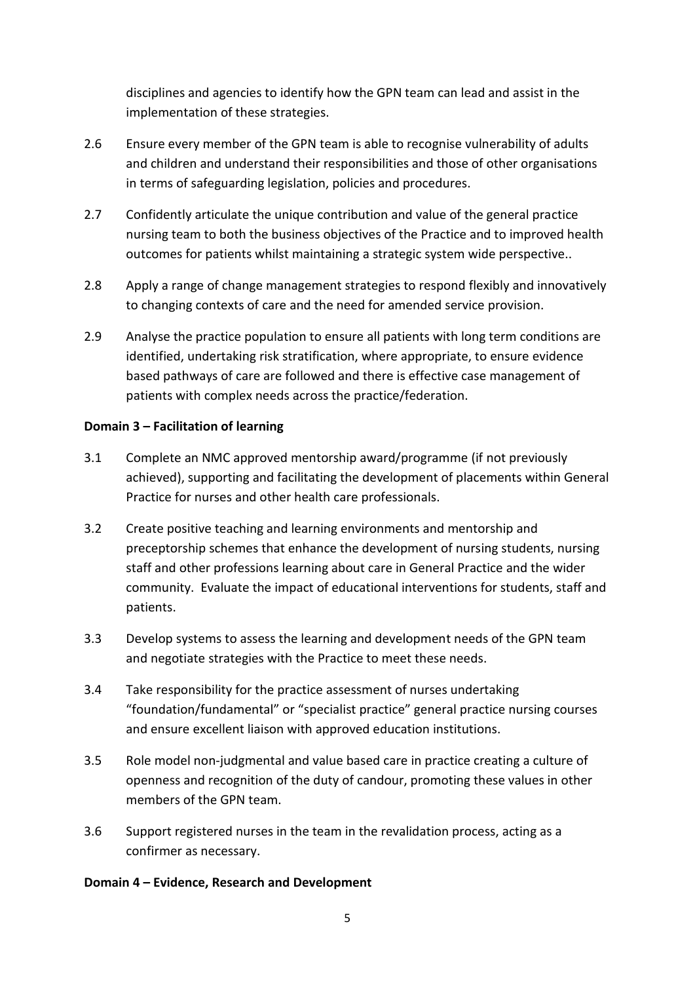disciplines and agencies to identify how the GPN team can lead and assist in the implementation of these strategies.

- 2.6 Ensure every member of the GPN team is able to recognise vulnerability of adults and children and understand their responsibilities and those of other organisations in terms of safeguarding legislation, policies and procedures.
- 2.7 Confidently articulate the unique contribution and value of the general practice nursing team to both the business objectives of the Practice and to improved health outcomes for patients whilst maintaining a strategic system wide perspective..
- 2.8 Apply a range of change management strategies to respond flexibly and innovatively to changing contexts of care and the need for amended service provision.
- 2.9 Analyse the practice population to ensure all patients with long term conditions are identified, undertaking risk stratification, where appropriate, to ensure evidence based pathways of care are followed and there is effective case management of patients with complex needs across the practice/federation.

# **Domain 3 – Facilitation of learning**

- 3.1 Complete an NMC approved mentorship award/programme (if not previously achieved), supporting and facilitating the development of placements within General Practice for nurses and other health care professionals.
- 3.2 Create positive teaching and learning environments and mentorship and preceptorship schemes that enhance the development of nursing students, nursing staff and other professions learning about care in General Practice and the wider community. Evaluate the impact of educational interventions for students, staff and patients.
- 3.3 Develop systems to assess the learning and development needs of the GPN team and negotiate strategies with the Practice to meet these needs.
- 3.4 Take responsibility for the practice assessment of nurses undertaking "foundation/fundamental" or "specialist practice" general practice nursing courses and ensure excellent liaison with approved education institutions.
- 3.5 Role model non-judgmental and value based care in practice creating a culture of openness and recognition of the duty of candour, promoting these values in other members of the GPN team.
- 3.6 Support registered nurses in the team in the revalidation process, acting as a confirmer as necessary.

### **Domain 4 – Evidence, Research and Development**